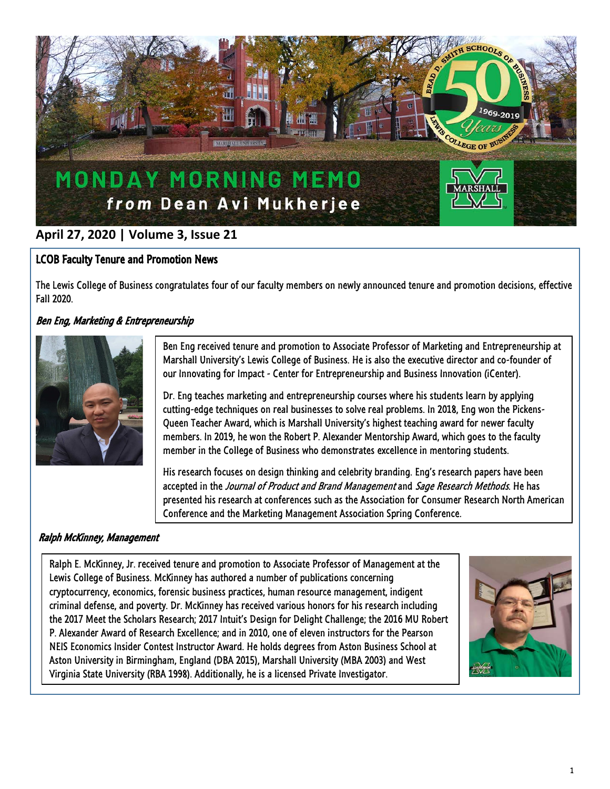

# **April 27, 2020 | Volume 3, Issue 21**

### LCOB Faculty Tenure and Promotion News

The Lewis College of Business congratulates four of our faculty members on newly announced tenure and promotion decisions, effective Fall 2020.

# Ben Eng, Marketing & Entrepreneurship



Ben Eng received tenure and promotion to Associate Professor of Marketing and Entrepreneurship at Marshall University's Lewis College of Business. He is also the executive director and co-founder of our Innovating for Impact - Center for Entrepreneurship and Business Innovation (iCenter).

Dr. Eng teaches marketing and entrepreneurship courses where his students learn by applying cutting-edge techniques on real businesses to solve real problems. In 2018, Eng won the Pickens-Queen Teacher Award, which is Marshall University's highest teaching award for newer faculty members. In 2019, he won the Robert P. Alexander Mentorship Award, which goes to the faculty member in the College of Business who demonstrates excellence in mentoring students.

His research focuses on design thinking and celebrity branding. Eng's research papers have been accepted in the Journal of Product and Brand Management and Sage Research Methods. He has presented his research at conferences such as the Association for Consumer Research North American Conference and the Marketing Management Association Spring Conference.

### Ralph McKinney, Management

Ralph E. McKinney, Jr. received tenure and promotion to Associate Professor of Management at the Lewis College of Business. McKinney has authored a number of publications concerning cryptocurrency, economics, forensic business practices, human resource management, indigent criminal defense, and poverty. Dr. McKinney has received various honors for his research including the 2017 Meet the Scholars Research; 2017 Intuit's Design for Delight Challenge; the 2016 MU Robert P. Alexander Award of Research Excellence; and in 2010, one of eleven instructors for the Pearson NEIS Economics Insider Contest Instructor Award. He holds degrees from Aston Business School at Aston University in Birmingham, England (DBA 2015), Marshall University (MBA 2003) and West Virginia State University (RBA 1998). Additionally, he is a licensed Private Investigator.

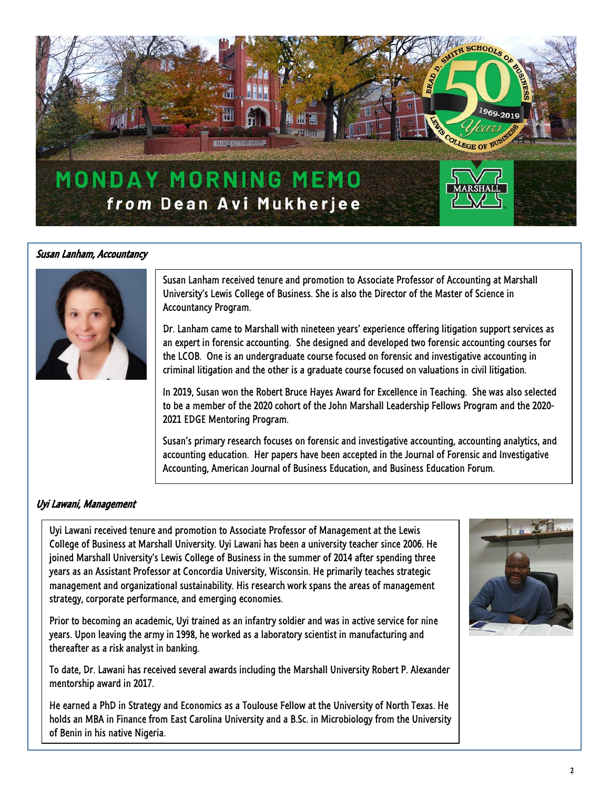

#### Susan Lanham, Accountancy



Susan Lanham received tenure and promotion to Associate Professor of Accounting at Marshall University's Lewis College of Business. She is also the Director of the Master of Science in Accountancy Program.

Dr. Lanham came to Marshall with nineteen years' experience offering litigation support services as an expert in forensic accounting. She designed and developed two forensic accounting courses for the LCOB. One is an undergraduate course focused on forensic and investigative accounting in criminal litigation and the other is a graduate course focused on valuations in civil litigation.

In 2019, Susan won the Robert Bruce Hayes Award for Excellence in Teaching. She was also selected to be a member of the 2020 cohort of the John Marshall Leadership Fellows Program and the 2020- 2021 EDGE Mentoring Program.

Susan's primary research focuses on forensic and investigative accounting, accounting analytics, and accounting education. Her papers have been accepted in the Journal of Forensic and Investigative Accounting, American Journal of Business Education, and Business Education Forum.

#### Uyi Lawani, Management

 years as an Assistant Professor at Concordia University, Wisconsin. He primarily teaches strategic management and organizational sustainability. His research work spans the areas of management strategy, corporate performance, and emerging economies. Uyi Lawani received tenure and promotion to Associate Professor of Management at the Lewis College of Business at Marshall University. Uyi Lawani has been a university teacher since 2006. He joined Marshall University's Lewis College of Business in the summer of 2014 after spending three

 Prior to becoming an academic, Uyi trained as an infantry soldier and was in active service for nine years. Upon leaving the army in 1998, he worked as a laboratory scientist in manufacturing and thereafter as a risk analyst in banking.

To date, Dr. Lawani has received several awards including the Marshall University Robert P. Alexander mentorship award in 2017.

He earned a PhD in Strategy and Economics as a Toulouse Fellow at the University of North Texas. He holds an MBA in Finance from East Carolina University and a B.Sc. in Microbiology from the University of Benin in his native Nigeria.